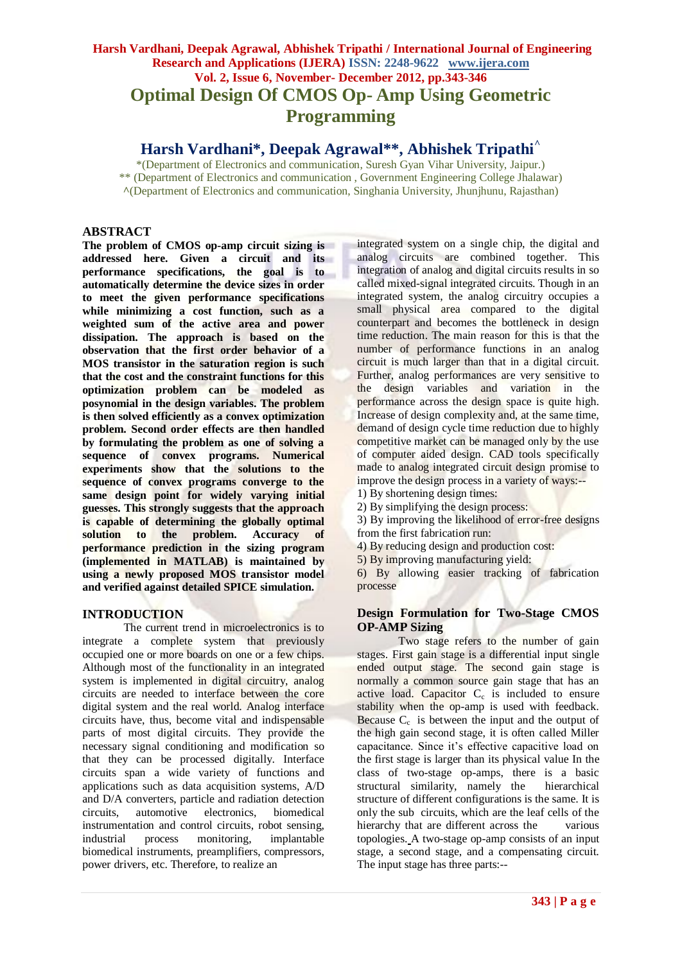# **Harsh Vardhani, Deepak Agrawal, Abhishek Tripathi / International Journal of Engineering Research and Applications (IJERA) ISSN: 2248-9622 www.ijera.com Vol. 2, Issue 6, November- December 2012, pp.343-346 Optimal Design Of CMOS Op- Amp Using Geometric Programming**

**Harsh Vardhani\*, Deepak Agrawal\*\*, Abhishek Tripathi^**

\*(Department of Electronics and communication, Suresh Gyan Vihar University, Jaipur.) \*\* (Department of Electronics and communication , Government Engineering College Jhalawar) **^**(Department of Electronics and communication, Singhania University, Jhunjhunu, Rajasthan)

# **ABSTRACT**

**The problem of CMOS op-amp circuit sizing is addressed here. Given a circuit and its performance specifications, the goal is to automatically determine the device sizes in order to meet the given performance specifications while minimizing a cost function, such as a weighted sum of the active area and power dissipation. The approach is based on the observation that the first order behavior of a MOS transistor in the saturation region is such that the cost and the constraint functions for this optimization problem can be modeled as posynomial in the design variables. The problem is then solved efficiently as a convex optimization problem. Second order effects are then handled by formulating the problem as one of solving a sequence of convex programs. Numerical experiments show that the solutions to the sequence of convex programs converge to the same design point for widely varying initial guesses. This strongly suggests that the approach is capable of determining the globally optimal solution to the problem. Accuracy of performance prediction in the sizing program (implemented in MATLAB) is maintained by using a newly proposed MOS transistor model and verified against detailed SPICE simulation.** 

# **INTRODUCTION**

The current trend in microelectronics is to integrate a complete system that previously occupied one or more boards on one or a few chips. Although most of the functionality in an integrated system is implemented in digital circuitry, analog circuits are needed to interface between the core digital system and the real world. Analog interface circuits have, thus, become vital and indispensable parts of most digital circuits. They provide the necessary signal conditioning and modification so that they can be processed digitally. Interface circuits span a wide variety of functions and applications such as data acquisition systems, A/D and D/A converters, particle and radiation detection circuits, automotive electronics, biomedical instrumentation and control circuits, robot sensing, industrial process monitoring, implantable biomedical instruments, preamplifiers, compressors, power drivers, etc. Therefore, to realize an

integrated system on a single chip, the digital and analog circuits are combined together. This integration of analog and digital circuits results in so called mixed-signal integrated circuits. Though in an integrated system, the analog circuitry occupies a small physical area compared to the digital counterpart and becomes the bottleneck in design time reduction. The main reason for this is that the number of performance functions in an analog circuit is much larger than that in a digital circuit. Further, analog performances are very sensitive to the design variables and variation in the performance across the design space is quite high. Increase of design complexity and, at the same time, demand of design cycle time reduction due to highly competitive market can be managed only by the use of computer aided design. CAD tools specifically made to analog integrated circuit design promise to improve the design process in a variety of ways:-- 1) By shortening design times:

2) By simplifying the design process:

3) By improving the likelihood of error-free designs from the first fabrication run:

4) By reducing design and production cost:

5) By improving manufacturing yield:

6) By allowing easier tracking of fabrication processe

# **Design Formulation for Two-Stage CMOS OP-AMP Sizing**

Two stage refers to the number of gain stages. First gain stage is a differential input single ended output stage. The second gain stage is normally a common source gain stage that has an active load. Capacitor  $C_c$  is included to ensure stability when the op-amp is used with feedback. Because  $C_c$  is between the input and the output of the high gain second stage, it is often called Miller capacitance. Since it's effective capacitive load on the first stage is larger than its physical value In the class of two-stage op-amps, there is a basic structural similarity, namely the hierarchical structure of different configurations is the same. It is only the sub circuits, which are the leaf cells of the hierarchy that are different across the various topologies. A two-stage op-amp consists of an input stage, a second stage, and a compensating circuit. The input stage has three parts:--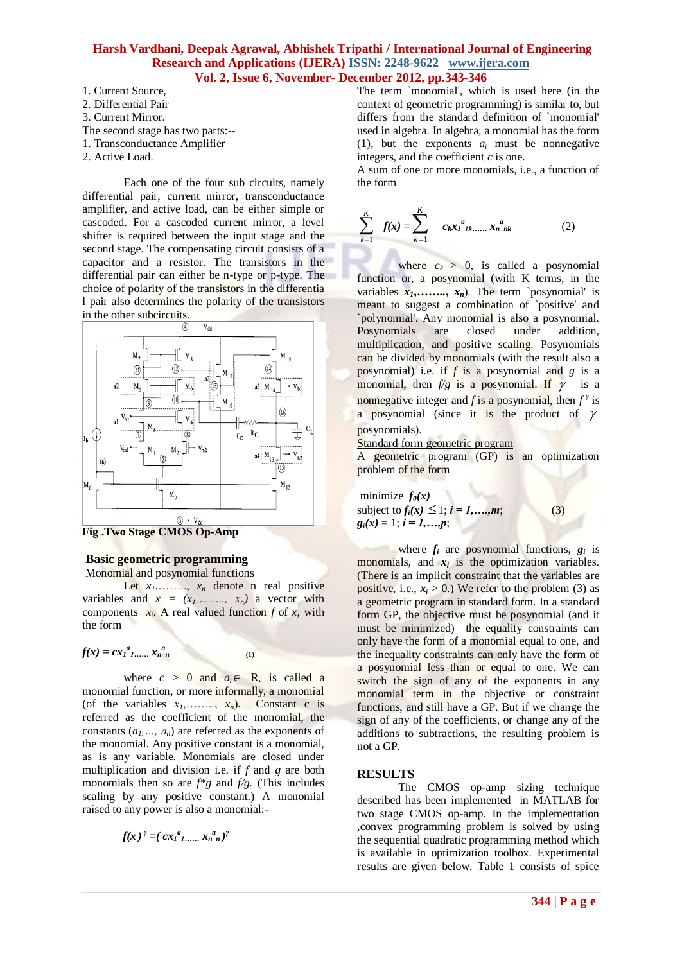## **Harsh Vardhani, Deepak Agrawal, Abhishek Tripathi / International Journal of Engineering Research and Applications (IJERA) ISSN: 2248-9622 www.ijera.com Vol. 2, Issue 6, November- December 2012, pp.343-346**

1. Current Source, 2. Differential Pair 3. Current Mirror. The second stage has two parts:-- 1. Transconductance Amplifier

2. Active Load.

Each one of the four sub circuits, namely differential pair, current mirror, transconductance amplifier, and active load, can be either simple or cascoded. For a cascoded current mirror, a level shifter is required between the input stage and the second stage. The compensating circuit consists of a capacitor and a resistor. The transistors in the differential pair can either be n-type or p-type. The choice of polarity of the transistors in the differentia l pair also determines the polarity of the transistors in the other subcircuits.



**Fig .Two Stage CMOS Op-Amp**

### **Basic geometric programming** Monomial and posynomial functions

Let  $x_1$ ,  $x_n$  denote n real positive variables and  $x = (x_1, \ldots, x_n)$  a vector with components  $x_i$ . A real valued function  $f$  of  $x$ , with the form

$$
f(x) = c x_1^a{}_{1, \dots, x_n^a} \tag{1}
$$

where  $c > 0$  and  $a_i \in \mathbb{R}$ , is called a monomial function, or more informally, a monomial (of the variables  $x_1$ ,  $x_n$ ). Constant c is referred as the coefficient of the monomial, the constants  $(a_1, ..., a_n)$  are referred as the exponents of the monomial. Any positive constant is a monomial, as is any variable. Monomials are closed under multiplication and division i.e. if *f* and *g* are both monomials then so are *f\*g* and *f/g.* (This includes scaling by any positive constant.) A monomial raised to any power is also a monomial:-

$$
f(x)^{\gamma} = (cx_1^a_{1, \dots, x_{n}^a})^{\gamma}
$$

The term `monomial', which is used here (in the context of geometric programming) is similar to, but differs from the standard definition of `monomial' used in algebra. In algebra, a monomial has the form (1), but the exponents  $a_i$  must be nonnegative integers, and the coefficient *c* is one.

A sum of one or more monomials, i.e., a function of the form

$$
\sum_{k=1}^{K} f(x) = \sum_{k=1}^{K} c_k x_i^{a} x_{1k,...,x_n}^{a} x_{nk}
$$
 (2)

where  $c_k > 0$ , is called a posynomial function or, a posynomial (with K terms, in the variables  $x_1$ ,.....,  $x_n$ ). The term `posynomial' is meant to suggest a combination of `positive' and `polynomial'. Any monomial is also a posynomial. Posynomials are closed under addition, multiplication, and positive scaling. Posynomials can be divided by monomials (with the result also a posynomial) i.e. if *f* is a posynomial and *g* is a monomial, then  $f/g$  is a posynomial. If  $\gamma$  is a nonnegative integer and *f* is a posynomial, then  $f^{\gamma}$  is a posynomial (since it is the product of  $\gamma$ posynomials).

Standard form geometric program

A geometric program (GP) is an optimization problem of the form

minimize  $f_0(x)$ subject to  $f_i(x) \le 1$ ;  $i = 1, ..., m$ ; (3)  $g_i(x) = 1; i = 1,...,p;$ 

where  $f_i$  are posynomial functions,  $g_i$  is monomials, and  $x_i$  is the optimization variables. (There is an implicit constraint that the variables are positive, i.e.,  $x_i > 0$ .) We refer to the problem (3) as a geometric program in standard form. In a standard form GP, the objective must be posynomial (and it must be minimized) the equality constraints can only have the form of a monomial equal to one, and the inequality constraints can only have the form of a posynomial less than or equal to one. We can switch the sign of any of the exponents in any monomial term in the objective or constraint functions, and still have a GP. But if we change the sign of any of the coefficients, or change any of the additions to subtractions, the resulting problem is not a GP.

#### **RESULTS**

The CMOS op-amp sizing technique described has been implemented in MATLAB for two stage CMOS op-amp. In the implementation ,convex programming problem is solved by using the sequential quadratic programming method which is available in optimization toolbox. Experimental results are given below. Table 1 consists of spice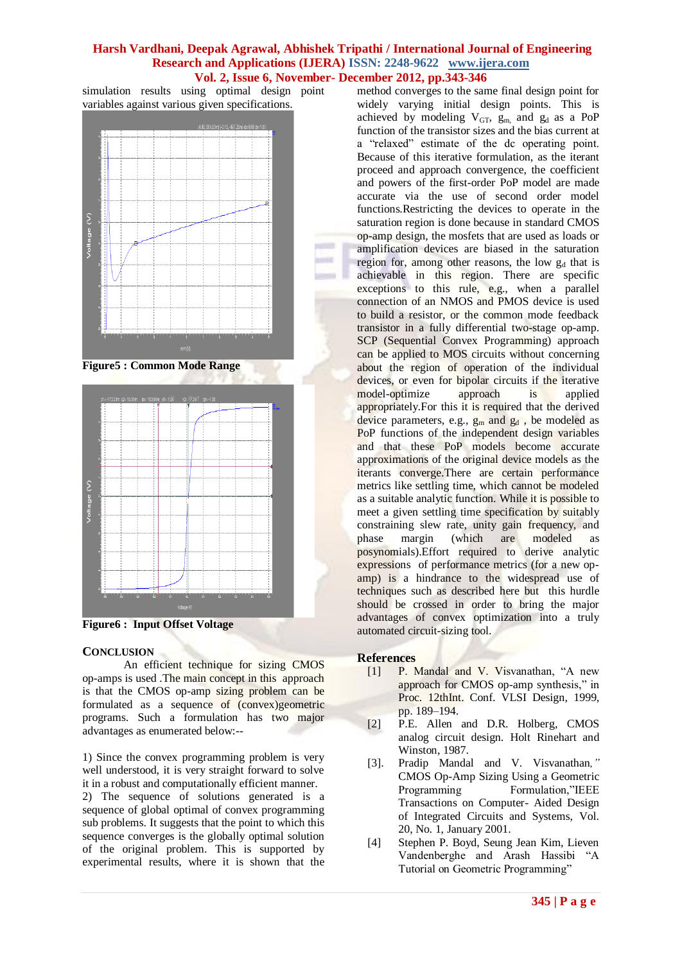#### **Harsh Vardhani, Deepak Agrawal, Abhishek Tripathi / International Journal of Engineering Research and Applications (IJERA) ISSN: 2248-9622 www.ijera.com Vol. 2, Issue 6, November- December 2012, pp.343-346**

simulation results using optimal design point variables against various given specifications.



**Figure5 : Common Mode Range**



**Figure6 : Input Offset Voltage**

# **CONCLUSION**

An efficient technique for sizing CMOS op-amps is used .The main concept in this approach is that the CMOS op-amp sizing problem can be formulated as a sequence of (convex)geometric programs. Such a formulation has two major advantages as enumerated below:--

1) Since the convex programming problem is very well understood, it is very straight forward to solve it in a robust and computationally efficient manner.

2) The sequence of solutions generated is a sequence of global optimal of convex programming sub problems. It suggests that the point to which this sequence converges is the globally optimal solution of the original problem. This is supported by experimental results, where it is shown that the method converges to the same final design point for widely varying initial design points. This is achieved by modeling  $V_{GT}$ ,  $g_m$  and  $g_d$  as a PoP function of the transistor sizes and the bias current at a "relaxed" estimate of the dc operating point. Because of this iterative formulation, as the iterant proceed and approach convergence, the coefficient and powers of the first-order PoP model are made accurate via the use of second order model functions.Restricting the devices to operate in the saturation region is done because in standard CMOS op-amp design, the mosfets that are used as loads or amplification devices are biased in the saturation region for, among other reasons, the low  $g_d$  that is achievable in this region. There are specific exceptions to this rule, e.g., when a parallel connection of an NMOS and PMOS device is used to build a resistor, or the common mode feedback transistor in a fully differential two-stage op-amp. SCP (Sequential Convex Programming) approach can be applied to MOS circuits without concerning about the region of operation of the individual devices, or even for bipolar circuits if the iterative model-optimize approach is applied appropriately.For this it is required that the derived device parameters, e.g.,  $g_m$  and  $g_d$ , be modeled as PoP functions of the independent design variables and that these PoP models become accurate approximations of the original device models as the iterants converge.There are certain performance metrics like settling time, which cannot be modeled as a suitable analytic function. While it is possible to meet a given settling time specification by suitably constraining slew rate, unity gain frequency, and phase margin (which are modeled as posynomials).Effort required to derive analytic expressions of performance metrics (for a new opamp) is a hindrance to the widespread use of techniques such as described here but this hurdle should be crossed in order to bring the major advantages of convex optimization into a truly automated circuit-sizing tool.

# **References**

- [1] P. Mandal and V. Visvanathan, "A new approach for CMOS op-amp synthesis," in Proc. 12thInt. Conf. VLSI Design, 1999, pp. 189–194.
- [2] P.E. Allen and D.R. Holberg, CMOS analog circuit design. Holt Rinehart and Winston, 1987.
- [3]. Pradip Mandal and V. Visvanathan*,"* CMOS Op-Amp Sizing Using a Geometric Programming Formulation,"IEEE Transactions on Computer- Aided Design of Integrated Circuits and Systems, Vol. 20, No. 1, January 2001.
- [4] Stephen P. Boyd, Seung Jean Kim, Lieven Vandenberghe and Arash Hassibi "A Tutorial on Geometric Programming"